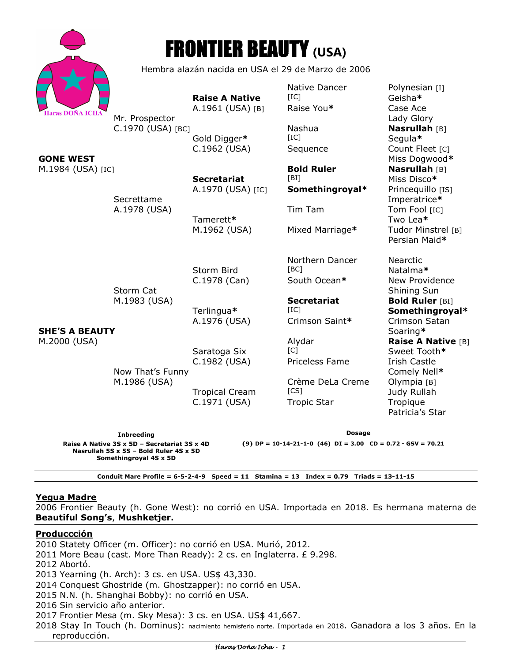|                                                                                                                                                          |                                                    | <b>FRONTIER BEAUTY (USA)</b>              |                                                |                                                                           |
|----------------------------------------------------------------------------------------------------------------------------------------------------------|----------------------------------------------------|-------------------------------------------|------------------------------------------------|---------------------------------------------------------------------------|
|                                                                                                                                                          | Hembra alazán nacida en USA el 29 de Marzo de 2006 |                                           |                                                |                                                                           |
| <b>Haras DOÑA ICHA</b>                                                                                                                                   | Mr. Prospector                                     | <b>Raise A Native</b><br>A.1961 (USA) [B] | Native Dancer<br>[IC]<br>Raise You*            | Polynesian [I]<br>Geisha*<br>Case Ace<br>Lady Glory                       |
| <b>GONE WEST</b><br>M.1984 (USA) [IC]<br><b>SHE'S A BEAUTY</b><br>M.2000 (USA)                                                                           | C.1970 (USA) [BC]                                  | Gold Digger*<br>C.1962 (USA)              | Nashua<br>[IC]<br>Sequence                     | <b>Nasrullah</b> [B]<br>Segula*<br>Count Fleet [C]<br>Miss Dogwood*       |
|                                                                                                                                                          | Secrettame<br>A.1978 (USA)                         | <b>Secretariat</b><br>A.1970 (USA) [IC]   | <b>Bold Ruler</b><br>[BI]<br>Somethingroyal*   | Nasrullah [B]<br>Miss Disco*<br>Princequillo [IS]<br>Imperatrice*         |
|                                                                                                                                                          |                                                    | Tamerett*<br>M.1962 (USA)                 | Tim Tam<br>Mixed Marriage*                     | Tom Fool [IC]<br>Two Lea*<br>Tudor Minstrel [B]<br>Persian Maid*          |
|                                                                                                                                                          | Storm Cat<br>M.1983 (USA)                          | Storm Bird<br>C.1978 (Can)                | Northern Dancer<br>[BC]<br>South Ocean*        | Nearctic<br>Natalma*<br>New Providence<br>Shining Sun                     |
|                                                                                                                                                          |                                                    | Terlingua*<br>A.1976 (USA)                | <b>Secretariat</b><br>[IC]<br>Crimson Saint*   | <b>Bold Ruler [BI]</b><br>Somethingroyal*<br>Crimson Satan<br>Soaring*    |
|                                                                                                                                                          | Now That's Funny<br>M.1986 (USA)                   | Saratoga Six<br>C.1982 (USA)              | Alydar<br>$\lceil C \rceil$<br>Priceless Fame  | <b>Raise A Native [B]</b><br>Sweet Tooth*<br>Irish Castle                 |
|                                                                                                                                                          |                                                    | <b>Tropical Cream</b><br>C.1971 (USA)     | Crème DeLa Creme<br>[CS]<br><b>Tropic Star</b> | Comely Nell*<br>Olympia [B]<br>Judy Rullah<br>Tropique<br>Patricia's Star |
|                                                                                                                                                          | <b>Inbreeding</b>                                  |                                           | <b>Dosage</b>                                  |                                                                           |
| Raise A Native 3S x 5D - Secretariat 3S x 4D<br>${9}$ DP = 10-14-21-1-0 (46) DI = 3.00 CD = 0.72 - GSV = 70.21<br>Nasrullah 5S x 5S - Bold Ruler 4S x 5D |                                                    |                                           |                                                |                                                                           |

**Nasrullah 5S x 5S – Bold Ruler 4S x 5D Somethingroyal 4S x 5D** 

**Conduit Mare Profile = 6-5-2-4-9 Speed = 11 Stamina = 13 Index = 0.79 Triads = 13-11-15** 

# **Yegua Madre**

2006 Frontier Beauty (h. Gone West): no corrió en USA. Importada en 2018. Es hermana materna de **Beautiful Song's**, **Mushketjer.**

## **Produccción**

reproducción.

2010 Statety Officer (m. Officer): no corrió en USA. Murió, 2012. 2011 More Beau (cast. More Than Ready): 2 cs. en Inglaterra. £ 9.298. 2012 Abortó. 2013 Yearning (h. Arch): 3 cs. en USA. US\$ 43,330. 2014 Conquest Ghostride (m. Ghostzapper): no corrió en USA. 2015 N.N. (h. Shanghai Bobby): no corrió en USA. 2016 Sin servicio año anterior. 2017 Frontier Mesa (m. Sky Mesa): 3 cs. en USA. US\$ 41,667. 2018 Stay In Touch (h. Dominus): nacimiento hemisferio norte. Importada en 2018. Ganadora a los 3 años. En la

## Haras Doña Icha - 1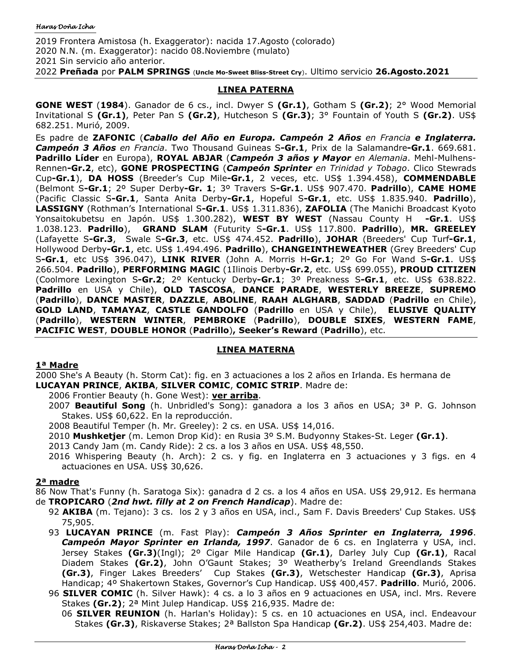2019 Frontera Amistosa (h. Exaggerator): nacida 17.Agosto (colorado) 2020 N.N. (m. Exaggerator): nacido 08.Noviembre (mulato) 2021 Sin servicio año anterior. 2022 **Preñada** por **PALM SPRINGS** (**Uncle Mo-Sweet Bliss-Street Cry**). Ultimo servicio **26.Agosto.2021**

## **LINEA PATERNA**

**GONE WEST** (**1984**). Ganador de 6 cs., incl. Dwyer S **(Gr.1)**, Gotham S **(Gr.2)**; 2° Wood Memorial Invitational S **(Gr.1)**, Peter Pan S **(Gr.2)**, Hutcheson S **(Gr.3)**; 3° Fountain of Youth S **(Gr.2)**. US\$ 682.251. Murió, 2009.

Es padre de **ZAFONIC** (*Caballo del Año en Europa. Campeón 2 Años en Francia e Inglaterra. Campeón 3 Años en Francia*. Two Thousand Guineas S**-Gr.1**, Prix de la Salamandre**-Gr.1**. 669.681. **Padrillo Líder** en Europa), **ROYAL ABJAR** (*Campeón 3 años y Mayor en Alemania*. Mehl-Mulhens-Rennen**-Gr.2**, etc), **GONE PROSPECTING** (*Campeón Sprinter en Trinidad y Tobago*. Clico Stewrads Cup**-Gr.1**), **DA HOSS** (Breeder's Cup Mile**-Gr.1**, 2 veces, etc. US\$ 1.394.458), **COMMENDABLE**  (Belmont S**-Gr.1**; 2º Super Derby**-Gr. 1**; 3º Travers S**-Gr.1**. US\$ 907.470. **Padrillo**), **CAME HOME**  (Pacific Classic S**-Gr.1**, Santa Anita Derby**-Gr.1**, Hopeful S**-Gr.1**, etc. US\$ 1.835.940. **Padrillo**), **LASSIGNY** (Rothman's International S**-Gr.1**. US\$ 1.311.836), **ZAFOLIA** (The Manichi Broadcast Kyoto Yonsaitokubetsu en Japón. US\$ 1.300.282), **WEST BY WEST** (Nassau County H **-Gr.1**. US\$ 1.038.123. **Padrillo**), **GRAND SLAM** (Futurity S**-Gr.1**. US\$ 117.800. **Padrillo**), **MR. GREELEY** (Lafayette S**-Gr.3**, Swale S**-Gr.3**, etc. US\$ 474.452. **Padrillo**), **JOHAR** (Breeders' Cup Turf**-Gr.1**, Hollywood Derby**-Gr.1**, etc. US\$ 1.494.496. **Padrillo**), **CHANGEINTHEWEATHER** (Grey Breeders' Cup S**-Gr.1**, etc US\$ 396.047), **LINK RIVER** (John A. Morris H**-Gr.1**; 2º Go For Wand S**-Gr.1**. US\$ 266.504. **Padrillo**), **PERFORMING MAGlC** (1Ilinois Derby**-Gr.2**, etc. US\$ 699.055), **PROUD CITIZEN**  (Coolmore Lexington S**-Gr.2**; 2º Kentucky Derby**-Gr.1**; 3º Preakness S**-Gr.1**, etc. US\$ 638.822. **Padrillo** en USA y Chile), **OLD TASCOSA**, **DANCE PARADE**, **WESTERLY BREEZE**, **SUPREMO**  (**Padrillo**), **DANCE MASTER**, **DAZZLE**, **ABOLlNE**, **RAAH ALGHARB**, **SADDAD** (**Padrillo** en Chile), **GOLD LAND**, **TAMAYAZ**, **CASTLE GANDOLFO** (**Padrillo** en USA y Chile), **ELUSIVE QUALITY**  (**Padrillo**), **WESTERN WINTER**, **PEMBROKE** (**Padrillo**), **DOUBLE SIXES**, **WESTERN FAME**, **PACIFIC WEST**, **DOUBLE HONOR** (**Padrillo**)**, Seeker's Reward** (**Padrillo**), etc.

## **LINEA MATERNA**

## **1ª Madre**

2000 She's A Beauty (h. Storm Cat): fig. en 3 actuaciones a los 2 años en Irlanda. Es hermana de **LUCAYAN PRINCE**, **AKIBA**, **SILVER COMIC**, **COMIC STRIP**. Madre de:

2006 Frontier Beauty (h. Gone West): **ver arriba**.

- 2007 **Beautiful Song** (h. Unbridled's Song): ganadora a los 3 años en USA; 3ª P. G. Johnson Stakes. US\$ 60,622. En la reproducción.
- 2008 Beautiful Temper (h. Mr. Greeley): 2 cs. en USA. US\$ 14,016.
- 2010 **Mushketjer** (m. Lemon Drop Kid): en Rusia 3º S.M. Budyonny Stakes-St. Leger **(Gr.1)**.

2013 Candy Jam (m. Candy Ride): 2 cs. a los 3 años en USA. US\$ 48,550.

2016 Whispering Beauty (h. Arch): 2 cs. y fig. en Inglaterra en 3 actuaciones y 3 figs. en 4 actuaciones en USA. US\$ 30,626.

# **2ª madre**

86 Now That's Funny (h. Saratoga Six): ganadra d 2 cs. a los 4 años en USA. US\$ 29,912. Es hermana

- de **TROPICARO** (*2nd hwt. filly at 2 on French Handicap*). Madre de:
	- 92 **AKIBA** (m. Tejano): 3 cs. los 2 y 3 años en USA, incl., Sam F. Davis Breeders' Cup Stakes. US\$ 75,905.
	- 93 **LUCAYAN PRINCE** (m. Fast Play): *Campeón 3 Años Sprinter en Inglaterra, 1996*. *Campeón Mayor Sprinter en Irlanda, 1997*. Ganador de 6 cs. en Inglaterra y USA, incl. Jersey Stakes **(Gr.3)**(Ingl); 2º Cigar Mile Handicap **(Gr.1)**, Darley July Cup **(Gr.1)**, Racal Diadem Stakes **(Gr.2)**, John O'Gaunt Stakes; 3º Weatherby's Ireland Greendlands Stakes **(Gr.3)**, Finger Lakes Breeders' Cup Stakes **(Gr.3)**, Wetschester Handicap **(Gr.3)**, Aprisa Handicap; 4º Shakertown Stakes, Governor's Cup Handicap. US\$ 400,457. **Padrillo**. Murió, 2006.
	- 96 **SILVER COMIC** (h. Silver Hawk): 4 cs. a lo 3 años en 9 actuaciones en USA, incl. Mrs. Revere Stakes **(Gr.2)**; 2ª Mint Julep Handicap. US\$ 216,935. Madre de:
		- 06 **SILVER REUNION** (h. Harlan's Holiday): 5 cs. en 10 actuaciones en USA, incl. Endeavour Stakes **(Gr.3)**, Riskaverse Stakes; 2ª Ballston Spa Handicap **(Gr.2)**. US\$ 254,403. Madre de: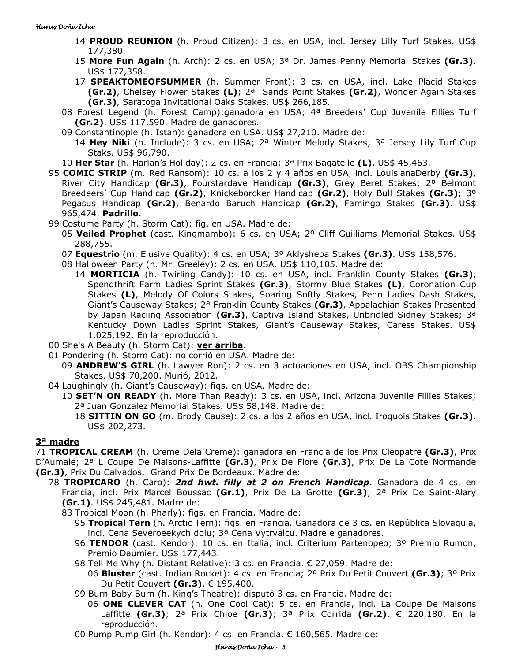### Haras Doña Icha

- 14 **PROUD REUNION** (h. Proud Citizen): 3 cs. en USA, incl. Jersey Lilly Turf Stakes. US\$ 177,380.
- 15 **More Fun Again** (h. Arch): 2 cs. en USA; 3ª Dr. James Penny Memorial Stakes **(Gr.3)**. US\$ 177,358.
- 17 **SPEAKTOMEOFSUMMER** (h. Summer Front): 3 cs. en USA, incl. Lake Placid Stakes **(Gr.2)**, Chelsey Flower Stakes **(L)**; 2ª Sands Point Stakes **(Gr.2)**, Wonder Again Stakes **(Gr.3)**, Saratoga Invitational Oaks Stakes. US\$ 266,185.
- 08 Forest Legend (h. Forest Camp):ganadora en USA; 4ª Breeders' Cup Juvenile Fillies Turf **(Gr.2)**. US\$ 117,590. Madre de ganadores.
- 09 Constantinople (h. Istan): ganadora en USA. US\$ 27,210. Madre de:
	- 14 **Hey Niki** (h. Include): 3 cs. en USA; 2ª Winter Melody Stakes; 3ª Jersey Lily Turf Cup Staks. US\$ 96,790.
- 10 **Her Star** (h. Harlan's Holiday): 2 cs. en Francia; 3ª Prix Bagatelle **(L)**. US\$ 45,463.
- 95 **COMIC STRIP** (m. Red Ransom): 10 cs. a los 2 y 4 años en USA, incl. LouisianaDerby **(Gr.3)**, River City Handicap **(Gr.3)**, Fourstardave Handicap **(Gr.3)**, Grey Beret Stakes; 2º Belmont Breedeers' Cup Handicap **(Gr.2)**, Knickeborcker Handicap **(Gr.2)**, Holy Bull Stakes **(Gr.3)**; 3º Pegasus Handicap **(Gr.2)**, Benardo Baruch Handicap **(Gr.2)**, Famingo Stakes **(Gr.3)**. US\$ 965,474. **Padrillo**.
- 99 Costume Party (h. Storm Cat): fig. en USA. Madre de:
	- 05 **Veiled Prophet** (cast. Kingmambo): 6 cs. en USA; 2º Cliff Guilliams Memorial Stakes. US\$ 288,755.
	- 07 **Equestrio** (m. Elusive Quality): 4 cs. en USA; 3º Aklysheba Stakes **(Gr.3)**. US\$ 158,576.
	- 08 Halloween Party (h. Mr. Greeley): 2 cs. en USA. US\$ 110,105. Madre de:
		- 14 **MORTICIA** (h. Twirling Candy): 10 cs. en USA, incl. Franklin County Stakes **(Gr.3)**, Spendthrift Farm Ladies Sprint Stakes **(Gr.3)**, Stormy Blue Stakes **(L)**, Coronation Cup Stakes **(L)**, Melody Of Colors Stakes, Soaring Softly Stakes, Penn Ladies Dash Stakes, Giant's Causeway Stakes; 2ª Franklin County Stakes **(Gr.3)**, Appalachian Stakes Presented by Japan Raciing Association **(Gr.3)**, Captiva Island Stakes, Unbridled Sidney Stakes; 3ª Kentucky Down Ladies Sprint Stakes, Giant's Causeway Stakes, Caress Stakes. US\$ 1,025,192. En la reproducción.
- 00 She's A Beauty (h. Storm Cat): **ver arriba**.
- 01 Pondering (h. Storm Cat): no corrió en USA. Madre de:
	- 09 **ANDREW'S GIRL** (h. Lawyer Ron): 2 cs. en 3 actuaciones en USA, incl. OBS Championship Stakes. US\$ 70,200. Murió, 2012.
- 04 Laughingly (h. Giant's Causeway): figs. en USA. Madre de:
	- 10 **SET'N ON READY** (h. More Than Ready): 3 cs. en USA, incl. Arizona Juvenile Fillies Stakes; 2ª Juan Gonzalez Memorial Stakes. US\$ 58,148. Madre de:
		- 18 **SITTIN ON GO** (m. Brody Cause): 2 cs. a los 2 años en USA, incl. Iroquois Stakes **(Gr.3)**. US\$ 202,273.

## **3ª madre**

71 **TROPICAL CREAM** (h. Creme Dela Creme): ganadora en Francia de los Prix Cleopatre **(Gr.3)**, Prix D'Aumale; 2ª L Coupe De Maisons-Laffitte **(Gr.3)**, Prix De Flore **(Gr.3)**, Prix De La Cote Normande **(Gr.3)**, Prix Du Calvados, Grand Prix De Bordeaux. Madre de:

- 78 **TROPICARO** (h. Caro): *2nd hwt. filly at 2 on French Handicap*. Ganadora de 4 cs. en Francia, incl. Prix Marcel Boussac **(Gr.1)**, Prix De La Grotte **(Gr.3)**; 2ª Prix De Saint-Alary **(Gr.1)**. US\$ 245,481. Madre de:
	- 83 Tropical Moon (h. Pharly): figs. en Francia. Madre de:
		- 95 **Tropical Tern** (h. Arctic Tern): figs. en Francia. Ganadora de 3 cs. en República Slovaquia, incl. Cena Severoeekych dolu; 3ª Cena Vytrvalcu. Madre e ganadores.
		- 96 **TENDOR** (cast. Kendor): 10 cs. en Italia, incl. Criterium Partenopeo; 3º Premio Rumon, Premio Daumier. US\$ 177,443.
		- 98 Tell Me Why (h. Distant Relative): 3 cs. en Francia. € 27,059. Madre de:
			- 06 **Bluster** (cast. Indian Rocket): 4 cs. en Francia; 2º Prix Du Petit Couvert **(Gr.3)**; 3º Prix Du Petit Couvert **(Gr.3)**. € 195,400.
		- 99 Burn Baby Burn (h. King's Theatre): disputó 3 cs. en Francia. Madre de:
			- 06 **ONE CLEVER CAT** (h. One Cool Cat): 5 cs. en Francia, incl. La Coupe De Maisons Laffitte **(Gr.3)**; 2ª Prix Chloe **(Gr.3)**; 3ª Prix Corrida **(Gr.2)**. € 220,180. En la reproducción.
		- 00 Pump Pump Girl (h. Kendor): 4 cs. en Francia. € 160,565. Madre de: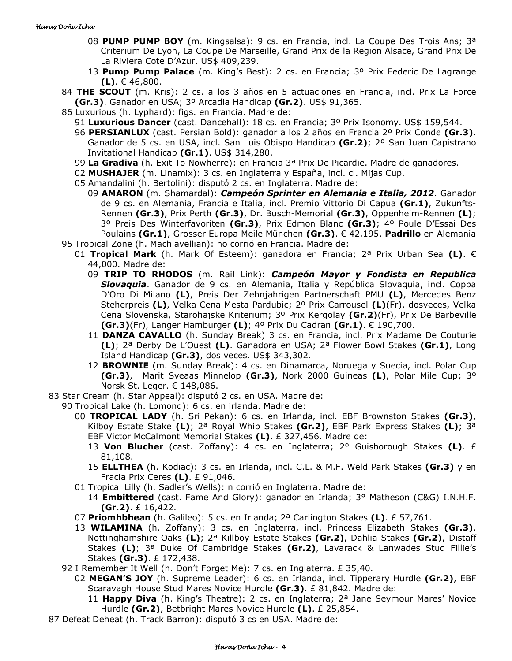### Haras Doña Icha

- 08 **PUMP PUMP BOY** (m. Kingsalsa): 9 cs. en Francia, incl. La Coupe Des Trois Ans; 3ª Criterium De Lyon, La Coupe De Marseille, Grand Prix de la Region Alsace, Grand Prix De La Riviera Cote D'Azur. US\$ 409,239.
- 13 **Pump Pump Palace** (m. King's Best): 2 cs. en Francia; 3º Prix Federic De Lagrange **(L)**. € 46,800.
- 84 **THE SCOUT** (m. Kris): 2 cs. a los 3 años en 5 actuaciones en Francia, incl. Prix La Force **(Gr.3)**. Ganador en USA; 3º Arcadia Handicap **(Gr.2)**. US\$ 91,365.
- 86 Luxurious (h. Lyphard): figs. en Francia. Madre de:
	- 91 **Luxurious Dancer** (cast. Dancehall): 18 cs. en Francia; 3º Prix Isonomy. US\$ 159,544.
	- 96 **PERSIANLUX** (cast. Persian Bold): ganador a los 2 años en Francia 2º Prix Conde **(Gr.3)**. Ganador de 5 cs. en USA, incl. San Luis Obispo Handicap **(Gr.2)**; 2º San Juan Capistrano Invitational Handicap **(Gr.1)**. US\$ 314,280.
	- 99 **La Gradiva** (h. Exit To Nowherre): en Francia 3ª Prix De Picardie. Madre de ganadores.
	- 02 **MUSHAJER** (m. Linamix): 3 cs. en Inglaterra y España, incl. cl. Mijas Cup.
	- 05 Amandalini (h. Bertolini): disputó 2 cs. en Inglaterra. Madre de:
- 09 **AMARON** (m. Shamardal): *Campeón Sprinter en Alemania e Italia, 2012*. Ganador de 9 cs. en Alemania, Francia e Italia, incl. Premio Vittorio Di Capua **(Gr.1)**, Zukunfts-Rennen **(Gr.3)**, Prix Perth **(Gr.3)**, Dr. Busch-Memorial **(Gr.3)**, Oppenheim-Rennen **(L)**; 3º Preis Des Winterfavoriten **(Gr.3)**, Prix Edmon Blanc **(Gr.3)**; 4º Poule D'Essai Des Poulains **(Gr.1)**, Grosser Europa Meile München **(Gr.3)**. € 42,195. **Padrillo** en Alemania 95 Tropical Zone (h. Machiavellian): no corrió en Francia. Madre de:
	- 01 **Tropical Mark** (h. Mark Of Esteem): ganadora en Francia; 2ª Prix Urban Sea **(L)**. € 44,000. Madre de:
		- 09 **TRIP TO RHODOS** (m. Rail Link): *Campeón Mayor y Fondista en Republica Slovaquia*. Ganador de 9 cs. en Alemania, Italia y República Slovaquia, incl. Coppa D'Oro Di Milano **(L)**, Preis Der Zehnjahrigen Partnerschaft PMU **(L)**, Mercedes Benz Steherpreis **(L)**, Velka Cena Mesta Pardubic; 2º Prix Carrousel **(L)**(Fr), dosveces, Velka Cena Slovenska, Starohajske Kriterium; 3º Prix Kergolay **(Gr.2)**(Fr), Prix De Barbeville **(Gr.3)**(Fr), Langer Hamburger **(L)**; 4º Prix Du Cadran **(Gr.1)**. € 190,700.
		- 11 **DANZA CAVALLO** (h. Sunday Break) 3 cs. en Francia, incl. Prix Madame De Couturie **(L)**; 2ª Derby De L'Ouest **(L)**. Ganadora en USA; 2ª Flower Bowl Stakes **(Gr.1)**, Long Island Handicap **(Gr.3)**, dos veces. US\$ 343,302.
		- 12 **BROWNIE** (m. Sunday Break): 4 cs. en Dinamarca, Noruega y Suecia, incl. Polar Cup **(Gr.3)**, Marit Sveaas Minnelop **(Gr.3)**, Nork 2000 Guineas **(L)**, Polar Mile Cup; 3º Norsk St. Leger. € 148,086.
- 83 Star Cream (h. Star Appeal): disputó 2 cs. en USA. Madre de:
- 90 Tropical Lake (h. Lomond): 6 cs. en irlanda. Madre de:
	- 00 **TROPICAL LADY** (h. Sri Pekan): 6 cs. en Irlanda, incl. EBF Brownston Stakes **(Gr.3)**, Kilboy Estate Stake **(L)**; 2ª Royal Whip Stakes **(Gr.2)**, EBF Park Express Stakes **(L)**; 3ª EBF Victor McCalmont Memorial Stakes **(L)**. £ 327,456. Madre de:
		- 13 **Von Blucher** (cast. Zoffany): 4 cs. en Inglaterra; 2° Guisborough Stakes **(L)**. £ 81,108.
		- 15 **ELLTHEA** (h. Kodiac): 3 cs. en Irlanda, incl. C.L. & M.F. Weld Park Stakes **(Gr.3)** y en Fracia Prix Ceres **(L)**. £ 91,046.
	- 01 Tropical Lilly (h. Sadler's Wells): n corrió en Inglaterra. Madre de:
		- 14 **Embittered** (cast. Fame And Glory): ganador en Irlanda; 3° Matheson (C&G) I.N.H.F. **(Gr.2)**. £ 16,422.
	- 07 **Priomhbhean** (h. Galileo): 5 cs. en Irlanda; 2ª Carlington Stakes **(L)**. £ 57,761.
	- 13 **WILAMINA** (h. Zoffany): 3 cs. en Inglaterra, incl. Princess Elizabeth Stakes **(Gr.3)**, Nottinghamshire Oaks **(L)**; 2ª Killboy Estate Stakes **(Gr.2)**, Dahlia Stakes **(Gr.2)**, Distaff Stakes **(L)**; 3ª Duke Of Cambridge Stakes **(Gr.2)**, Lavarack & Lanwades Stud Fillie's Stakes **(Gr.3)**. £ 172,438.
	- 92 I Remember It Well (h. Don't Forget Me): 7 cs. en Inglaterra. £ 35,40.
		- 02 **MEGAN'S JOY** (h. Supreme Leader): 6 cs. en Irlanda, incl. Tipperary Hurdle **(Gr.2)**, EBF Scaravagh House Stud Mares Novice Hurdle **(Gr.3)**. £ 81,842. Madre de:
			- 11 **Happy Diva** (h. King's Theatre): 2 cs. en Inglaterra; 2ª Jane Seymour Mares' Novice Hurdle **(Gr.2)**, Betbright Mares Novice Hurdle **(L)**. £ 25,854.
- 87 Defeat Deheat (h. Track Barron): disputó 3 cs en USA. Madre de: